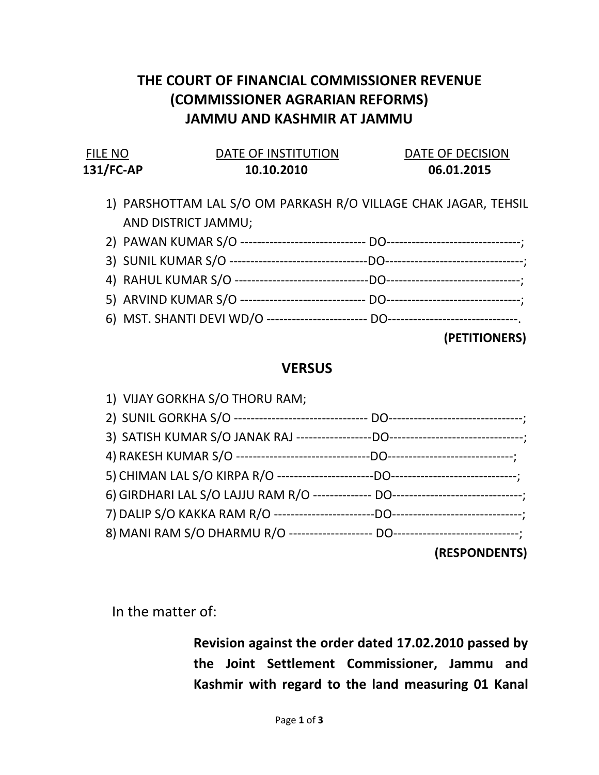## THE COURT OF FINANCIAL COMMISSIONER REVENUE (COMMISSIONER AGRARIAN REFORMS) JAMMU AND KASHMIR AT JAMMU

| FILE NO      | DATE OF INSTITUTION | DATE OF DECISION |
|--------------|---------------------|------------------|
| $131$ /FC-AP | 10.10.2010          | 06.01.2015       |

- 1) PARSHOTTAM LAL S/O OM PARKASH R/O VILLAGE CHAK JAGAR, TEHSIL AND DISTRICT JAMMU;
- 2) PAWAN KUMAR S/O ------------------------------ DO--------------------------------; 3) SUNIL KUMAR S/O ---------------------------------DO---------------------------------;
- 4) RAHUL KUMAR S/O --------------------------------DO--------------------------------;
- 5) ARVIND KUMAR S/O ------------------------------ DO--------------------------------;
- 6) MST. SHANTI DEVI WD/O ------------------------ DO-------------------------------.

(PETITIONERS)

## **VERSUS**

| 1) VIJAY GORKHA S/O THORU RAM; |               |  |
|--------------------------------|---------------|--|
|                                |               |  |
|                                |               |  |
|                                |               |  |
|                                |               |  |
|                                |               |  |
|                                |               |  |
|                                |               |  |
|                                | (RESPONDENTS) |  |

In the matter of:

Revision against the order dated 17.02.2010 passed by the Joint Settlement Commissioner, Jammu and Kashmir with regard to the land measuring 01 Kanal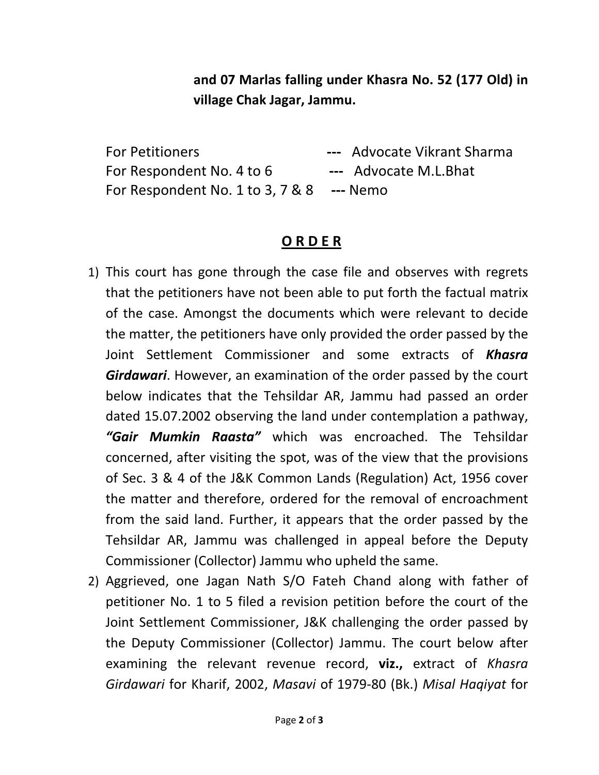and 07 Marlas falling under Khasra No. 52 (177 Old) in village Chak Jagar, Jammu.

For Petitioners **---** Advocate Vikrant Sharma For Respondent No. 4 to 6 --- Advocate M.L.Bhat For Respondent No. 1 to 3, 7 & 8 --- Nemo

## O R D E R

- 1) This court has gone through the case file and observes with regrets that the petitioners have not been able to put forth the factual matrix of the case. Amongst the documents which were relevant to decide the matter, the petitioners have only provided the order passed by the Joint Settlement Commissioner and some extracts of **Khasra Girdawari.** However, an examination of the order passed by the court below indicates that the Tehsildar AR, Jammu had passed an order dated 15.07.2002 observing the land under contemplation a pathway, "Gair Mumkin Raasta" which was encroached. The Tehsildar concerned, after visiting the spot, was of the view that the provisions of Sec. 3 & 4 of the J&K Common Lands (Regulation) Act, 1956 cover the matter and therefore, ordered for the removal of encroachment from the said land. Further, it appears that the order passed by the Tehsildar AR, Jammu was challenged in appeal before the Deputy Commissioner (Collector) Jammu who upheld the same.
- 2) Aggrieved, one Jagan Nath S/O Fateh Chand along with father of petitioner No. 1 to 5 filed a revision petition before the court of the Joint Settlement Commissioner, J&K challenging the order passed by the Deputy Commissioner (Collector) Jammu. The court below after examining the relevant revenue record, viz., extract of Khasra Girdawari for Kharif, 2002, Masavi of 1979-80 (Bk.) Misal Haqiyat for